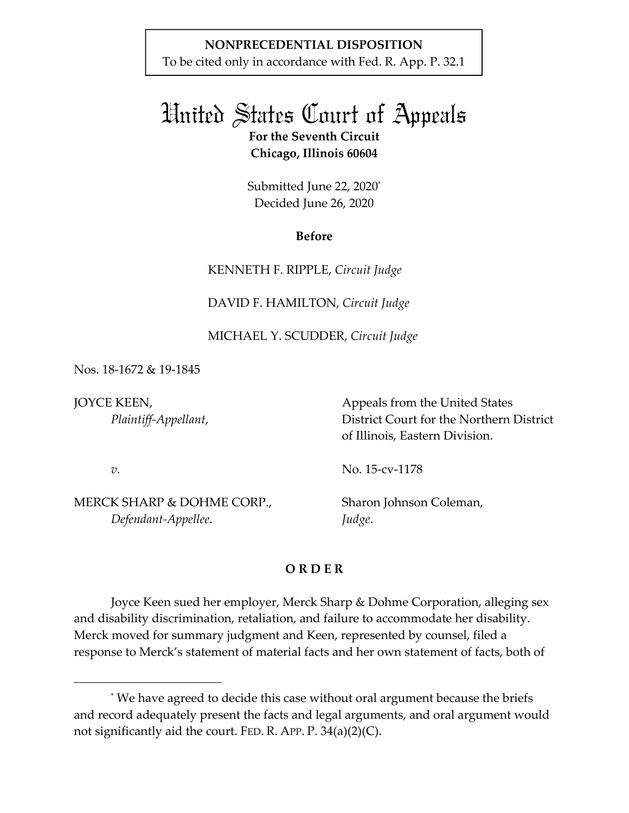# **NONPRECEDENTIAL DISPOSITION**

To be cited only in accordance with Fed. R. App. P. 32.1

# United States Court of Appeals **For the Seventh Circuit**

**Chicago, Illinois 60604** 

Submitted June 22, 2020\* Decided June 26, 2020

## **Before**

KENNETH F. RIPPLE, *Circuit Judge* 

DAVID F. HAMILTON, *Circuit Judge* 

# MICHAEL Y. SCUDDER, *Circuit Judge*

Nos. 18-1672 & 19-1845

JOYCE KEEN, *Plaintiff-Appellant*, Appeals from the United States District Court for the Northern District of Illinois, Eastern Division.

*v*.

MERCK SHARP & DOHME CORP.,  *Defendant-Appellee*.

No. 15-cv-1178

Sharon Johnson Coleman, *Judge*.

# **O R D E R**

Joyce Keen sued her employer, Merck Sharp & Dohme Corporation, alleging sex and disability discrimination, retaliation, and failure to accommodate her disability. Merck moved for summary judgment and Keen, represented by counsel, filed a response to Merck's statement of material facts and her own statement of facts, both of

<sup>\*</sup> We have agreed to decide this case without oral argument because the briefs and record adequately present the facts and legal arguments, and oral argument would not significantly aid the court. FED. R. APP. P. 34(a)(2)(C).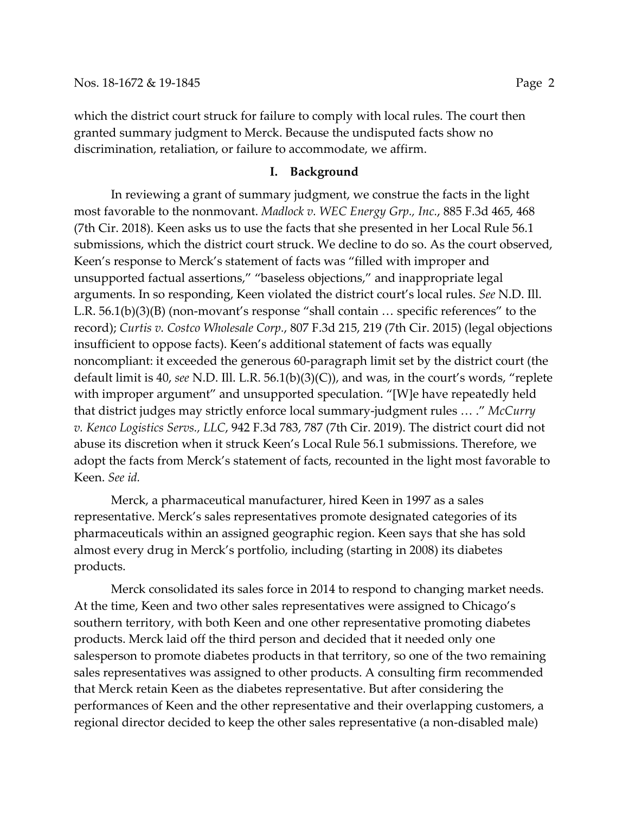which the district court struck for failure to comply with local rules. The court then granted summary judgment to Merck. Because the undisputed facts show no discrimination, retaliation, or failure to accommodate, we affirm.

## **I. Background**

 In reviewing a grant of summary judgment, we construe the facts in the light most favorable to the nonmovant. *Madlock v. WEC Energy Grp., Inc.*, 885 F.3d 465, 468 (7th Cir. 2018). Keen asks us to use the facts that she presented in her Local Rule 56.1 submissions, which the district court struck. We decline to do so. As the court observed, Keen's response to Merck's statement of facts was "filled with improper and unsupported factual assertions," "baseless objections," and inappropriate legal arguments. In so responding, Keen violated the district court's local rules. *See* N.D. Ill. L.R. 56.1(b)(3)(B) (non-movant's response "shall contain … specific references" to the record); *Curtis v. Costco Wholesale Corp.*, 807 F.3d 215, 219 (7th Cir. 2015) (legal objections insufficient to oppose facts). Keen's additional statement of facts was equally noncompliant: it exceeded the generous 60-paragraph limit set by the district court (the default limit is 40, *see* N.D. Ill. L.R. 56.1(b)(3)(C)), and was, in the court's words, "replete with improper argument" and unsupported speculation. "[W]e have repeatedly held that district judges may strictly enforce local summary-judgment rules … ." *McCurry v. Kenco Logistics Servs., LLC*, 942 F.3d 783, 787 (7th Cir. 2019). The district court did not abuse its discretion when it struck Keen's Local Rule 56.1 submissions. Therefore, we adopt the facts from Merck's statement of facts, recounted in the light most favorable to Keen. *See id.*

 Merck, a pharmaceutical manufacturer, hired Keen in 1997 as a sales representative. Merck's sales representatives promote designated categories of its pharmaceuticals within an assigned geographic region. Keen says that she has sold almost every drug in Merck's portfolio, including (starting in 2008) its diabetes products.

Merck consolidated its sales force in 2014 to respond to changing market needs. At the time, Keen and two other sales representatives were assigned to Chicago's southern territory, with both Keen and one other representative promoting diabetes products. Merck laid off the third person and decided that it needed only one salesperson to promote diabetes products in that territory, so one of the two remaining sales representatives was assigned to other products. A consulting firm recommended that Merck retain Keen as the diabetes representative. But after considering the performances of Keen and the other representative and their overlapping customers, a regional director decided to keep the other sales representative (a non-disabled male)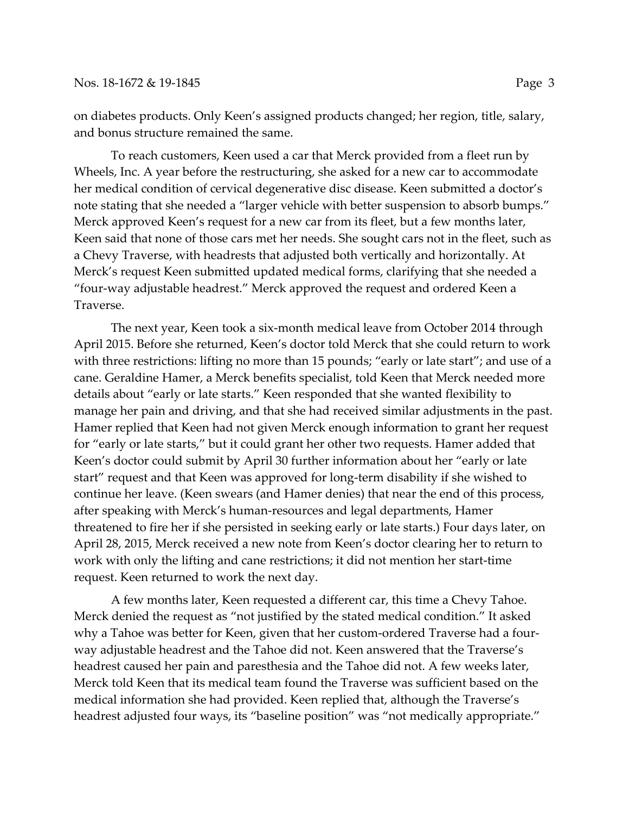on diabetes products. Only Keen's assigned products changed; her region, title, salary, and bonus structure remained the same.

To reach customers, Keen used a car that Merck provided from a fleet run by Wheels, Inc. A year before the restructuring, she asked for a new car to accommodate her medical condition of cervical degenerative disc disease. Keen submitted a doctor's note stating that she needed a "larger vehicle with better suspension to absorb bumps." Merck approved Keen's request for a new car from its fleet, but a few months later, Keen said that none of those cars met her needs. She sought cars not in the fleet, such as a Chevy Traverse, with headrests that adjusted both vertically and horizontally. At Merck's request Keen submitted updated medical forms, clarifying that she needed a "four-way adjustable headrest." Merck approved the request and ordered Keen a Traverse.

The next year, Keen took a six-month medical leave from October 2014 through April 2015. Before she returned, Keen's doctor told Merck that she could return to work with three restrictions: lifting no more than 15 pounds; "early or late start"; and use of a cane. Geraldine Hamer, a Merck benefits specialist, told Keen that Merck needed more details about "early or late starts." Keen responded that she wanted flexibility to manage her pain and driving, and that she had received similar adjustments in the past. Hamer replied that Keen had not given Merck enough information to grant her request for "early or late starts," but it could grant her other two requests. Hamer added that Keen's doctor could submit by April 30 further information about her "early or late start" request and that Keen was approved for long-term disability if she wished to continue her leave. (Keen swears (and Hamer denies) that near the end of this process, after speaking with Merck's human-resources and legal departments, Hamer threatened to fire her if she persisted in seeking early or late starts.) Four days later, on April 28, 2015, Merck received a new note from Keen's doctor clearing her to return to work with only the lifting and cane restrictions; it did not mention her start-time request. Keen returned to work the next day.

A few months later, Keen requested a different car, this time a Chevy Tahoe. Merck denied the request as "not justified by the stated medical condition." It asked why a Tahoe was better for Keen, given that her custom-ordered Traverse had a fourway adjustable headrest and the Tahoe did not. Keen answered that the Traverse's headrest caused her pain and paresthesia and the Tahoe did not. A few weeks later, Merck told Keen that its medical team found the Traverse was sufficient based on the medical information she had provided. Keen replied that, although the Traverse's headrest adjusted four ways, its "baseline position" was "not medically appropriate."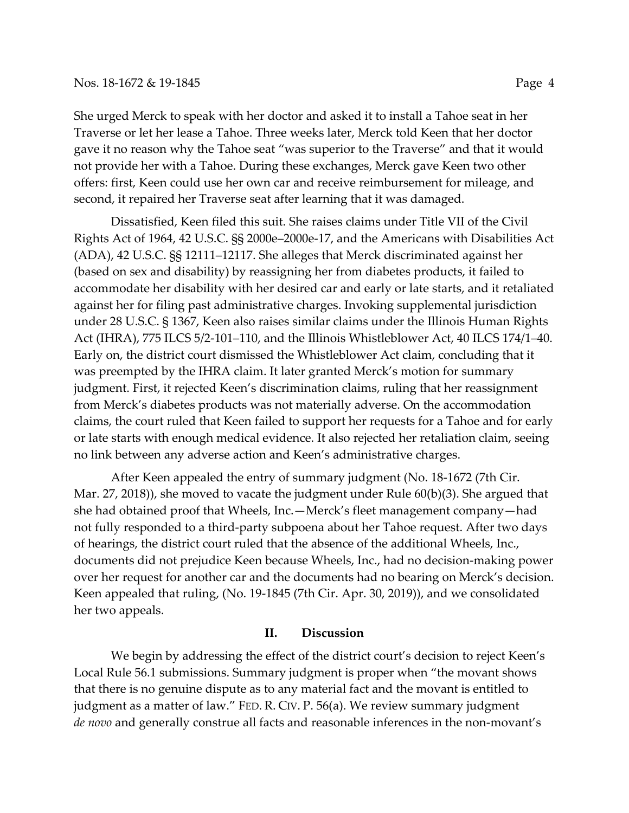#### Nos. 18-1672 & 19-1845 Page 4

She urged Merck to speak with her doctor and asked it to install a Tahoe seat in her Traverse or let her lease a Tahoe. Three weeks later, Merck told Keen that her doctor gave it no reason why the Tahoe seat "was superior to the Traverse" and that it would not provide her with a Tahoe. During these exchanges, Merck gave Keen two other offers: first, Keen could use her own car and receive reimbursement for mileage, and second, it repaired her Traverse seat after learning that it was damaged.

Dissatisfied, Keen filed this suit. She raises claims under Title VII of the Civil Rights Act of 1964, 42 U.S.C. §§ 2000e–2000e-17, and the Americans with Disabilities Act (ADA), 42 U.S.C. §§ 12111–12117. She alleges that Merck discriminated against her (based on sex and disability) by reassigning her from diabetes products, it failed to accommodate her disability with her desired car and early or late starts, and it retaliated against her for filing past administrative charges. Invoking supplemental jurisdiction under 28 U.S.C. § 1367, Keen also raises similar claims under the Illinois Human Rights Act (IHRA), 775 ILCS 5/2-101–110, and the Illinois Whistleblower Act, 40 ILCS 174/1–40. Early on, the district court dismissed the Whistleblower Act claim, concluding that it was preempted by the IHRA claim. It later granted Merck's motion for summary judgment. First, it rejected Keen's discrimination claims, ruling that her reassignment from Merck's diabetes products was not materially adverse. On the accommodation claims, the court ruled that Keen failed to support her requests for a Tahoe and for early or late starts with enough medical evidence. It also rejected her retaliation claim, seeing no link between any adverse action and Keen's administrative charges.

After Keen appealed the entry of summary judgment (No. 18-1672 (7th Cir. Mar. 27, 2018)), she moved to vacate the judgment under Rule 60(b)(3). She argued that she had obtained proof that Wheels, Inc.—Merck's fleet management company—had not fully responded to a third-party subpoena about her Tahoe request. After two days of hearings, the district court ruled that the absence of the additional Wheels, Inc., documents did not prejudice Keen because Wheels, Inc., had no decision-making power over her request for another car and the documents had no bearing on Merck's decision. Keen appealed that ruling, (No. 19-1845 (7th Cir. Apr. 30, 2019)), and we consolidated her two appeals.

### **II. Discussion**

 We begin by addressing the effect of the district court's decision to reject Keen's Local Rule 56.1 submissions. Summary judgment is proper when "the movant shows that there is no genuine dispute as to any material fact and the movant is entitled to judgment as a matter of law." FED. R. CIV. P. 56(a). We review summary judgment *de novo* and generally construe all facts and reasonable inferences in the non-movant's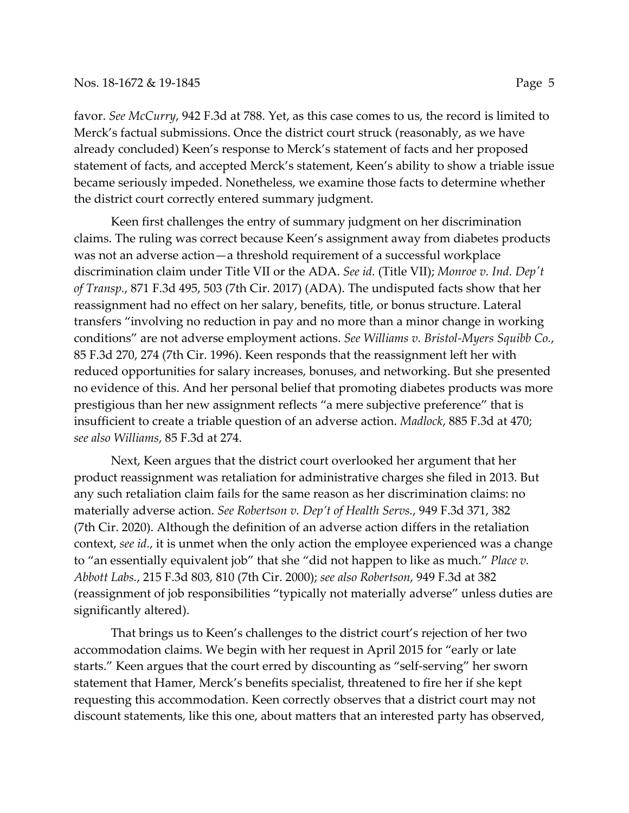#### Nos. 18-1672 & 19-1845 Page 5

favor. *See McCurry*, 942 F.3d at 788. Yet, as this case comes to us, the record is limited to Merck's factual submissions. Once the district court struck (reasonably, as we have already concluded) Keen's response to Merck's statement of facts and her proposed statement of facts, and accepted Merck's statement, Keen's ability to show a triable issue became seriously impeded. Nonetheless, we examine those facts to determine whether the district court correctly entered summary judgment.

Keen first challenges the entry of summary judgment on her discrimination claims. The ruling was correct because Keen's assignment away from diabetes products was not an adverse action—a threshold requirement of a successful workplace discrimination claim under Title VII or the ADA. *See id.* (Title VII); *Monroe v. Ind. Dep't of Transp.*, 871 F.3d 495, 503 (7th Cir. 2017) (ADA). The undisputed facts show that her reassignment had no effect on her salary, benefits, title, or bonus structure. Lateral transfers "involving no reduction in pay and no more than a minor change in working conditions" are not adverse employment actions. *See Williams v. Bristol-Myers Squibb Co.*, 85 F.3d 270, 274 (7th Cir. 1996). Keen responds that the reassignment left her with reduced opportunities for salary increases, bonuses, and networking. But she presented no evidence of this. And her personal belief that promoting diabetes products was more prestigious than her new assignment reflects "a mere subjective preference" that is insufficient to create a triable question of an adverse action. *Madlock*, 885 F.3d at 470; *see also Williams*, 85 F.3d at 274.

 Next, Keen argues that the district court overlooked her argument that her product reassignment was retaliation for administrative charges she filed in 2013. But any such retaliation claim fails for the same reason as her discrimination claims: no materially adverse action. *See Robertson v. Dep't of Health Servs.*, 949 F.3d 371, 382 (7th Cir. 2020). Although the definition of an adverse action differs in the retaliation context, *see id.*, it is unmet when the only action the employee experienced was a change to "an essentially equivalent job" that she "did not happen to like as much." *Place v. Abbott Labs.*, 215 F.3d 803, 810 (7th Cir. 2000); *see also Robertson*, 949 F.3d at 382 (reassignment of job responsibilities "typically not materially adverse" unless duties are significantly altered).

That brings us to Keen's challenges to the district court's rejection of her two accommodation claims. We begin with her request in April 2015 for "early or late starts." Keen argues that the court erred by discounting as "self-serving" her sworn statement that Hamer, Merck's benefits specialist, threatened to fire her if she kept requesting this accommodation. Keen correctly observes that a district court may not discount statements, like this one, about matters that an interested party has observed,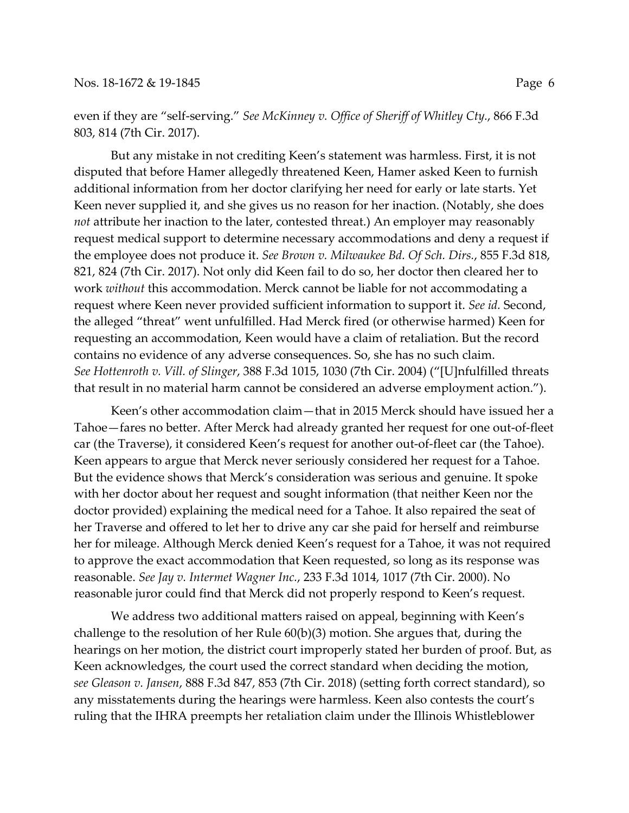even if they are "self-serving." *See McKinney v. Office of Sheriff of Whitley Cty.*, 866 F.3d 803, 814 (7th Cir. 2017).

But any mistake in not crediting Keen's statement was harmless. First, it is not disputed that before Hamer allegedly threatened Keen, Hamer asked Keen to furnish additional information from her doctor clarifying her need for early or late starts. Yet Keen never supplied it, and she gives us no reason for her inaction. (Notably, she does *not* attribute her inaction to the later, contested threat.) An employer may reasonably request medical support to determine necessary accommodations and deny a request if the employee does not produce it. *See Brown v. Milwaukee Bd. Of Sch. Dirs.*, 855 F.3d 818, 821, 824 (7th Cir. 2017). Not only did Keen fail to do so, her doctor then cleared her to work *without* this accommodation. Merck cannot be liable for not accommodating a request where Keen never provided sufficient information to support it. *See id.* Second, the alleged "threat" went unfulfilled. Had Merck fired (or otherwise harmed) Keen for requesting an accommodation, Keen would have a claim of retaliation. But the record contains no evidence of any adverse consequences. So, she has no such claim. *See Hottenroth v. Vill. of Slinger*, 388 F.3d 1015, 1030 (7th Cir. 2004) ("[U]nfulfilled threats that result in no material harm cannot be considered an adverse employment action.").

Keen's other accommodation claim—that in 2015 Merck should have issued her a Tahoe—fares no better. After Merck had already granted her request for one out-of-fleet car (the Traverse), it considered Keen's request for another out-of-fleet car (the Tahoe). Keen appears to argue that Merck never seriously considered her request for a Tahoe. But the evidence shows that Merck's consideration was serious and genuine. It spoke with her doctor about her request and sought information (that neither Keen nor the doctor provided) explaining the medical need for a Tahoe. It also repaired the seat of her Traverse and offered to let her to drive any car she paid for herself and reimburse her for mileage. Although Merck denied Keen's request for a Tahoe, it was not required to approve the exact accommodation that Keen requested, so long as its response was reasonable. *See Jay v. Intermet Wagner Inc.*, 233 F.3d 1014, 1017 (7th Cir. 2000). No reasonable juror could find that Merck did not properly respond to Keen's request.

We address two additional matters raised on appeal, beginning with Keen's challenge to the resolution of her Rule 60(b)(3) motion. She argues that, during the hearings on her motion, the district court improperly stated her burden of proof. But, as Keen acknowledges, the court used the correct standard when deciding the motion, *see Gleason v. Jansen*, 888 F.3d 847, 853 (7th Cir. 2018) (setting forth correct standard), so any misstatements during the hearings were harmless. Keen also contests the court's ruling that the IHRA preempts her retaliation claim under the Illinois Whistleblower